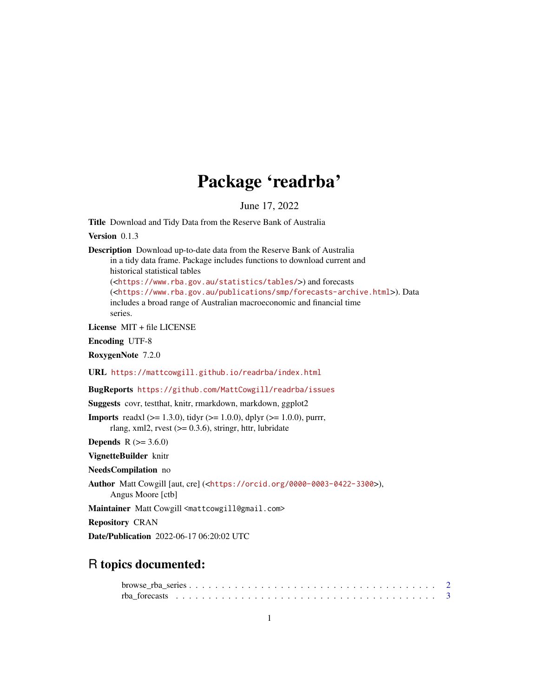## Package 'readrba'

June 17, 2022

Title Download and Tidy Data from the Reserve Bank of Australia

Version 0.1.3

Description Download up-to-date data from the Reserve Bank of Australia in a tidy data frame. Package includes functions to download current and historical statistical tables (<<https://www.rba.gov.au/statistics/tables/>>) and forecasts (<<https://www.rba.gov.au/publications/smp/forecasts-archive.html>>). Data includes a broad range of Australian macroeconomic and financial time series.

License MIT + file LICENSE

Encoding UTF-8

RoxygenNote 7.2.0

URL <https://mattcowgill.github.io/readrba/index.html>

BugReports <https://github.com/MattCowgill/readrba/issues>

Suggests covr, testthat, knitr, rmarkdown, markdown, ggplot2

**Imports** readxl ( $>= 1.3.0$ ), tidyr ( $>= 1.0.0$ ), dplyr ( $>= 1.0.0$ ), purrr, rlang, xml2, rvest  $(>= 0.3.6)$ , stringr, httr, lubridate

**Depends** R  $(>= 3.6.0)$ 

VignetteBuilder knitr

NeedsCompilation no

Author Matt Cowgill [aut, cre] (<<https://orcid.org/0000-0003-0422-3300>>),

Angus Moore [ctb]

Maintainer Matt Cowgill <mattcowgill@gmail.com>

Repository CRAN

Date/Publication 2022-06-17 06:20:02 UTC

## R topics documented: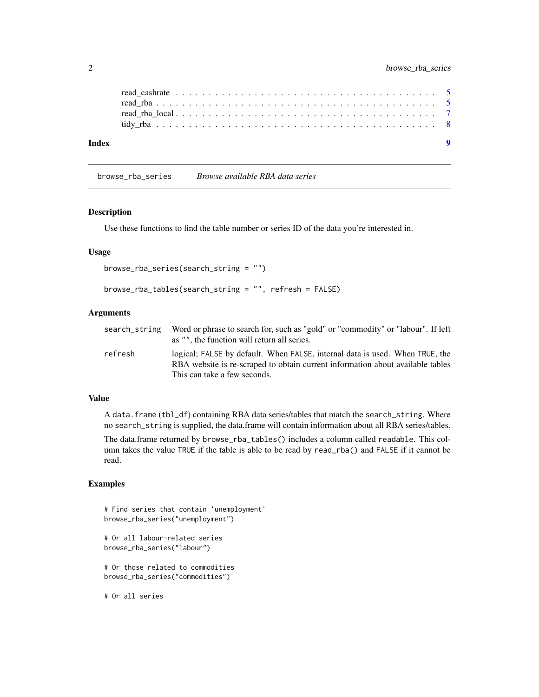<span id="page-1-0"></span>

| Index |  |  |  |  |  |  |  |  |  |  |  |  |  |  |  |  |  |  |
|-------|--|--|--|--|--|--|--|--|--|--|--|--|--|--|--|--|--|--|

browse\_rba\_series *Browse available RBA data series*

#### Description

Use these functions to find the table number or series ID of the data you're interested in.

#### Usage

```
browse_rba_series(search_string = "")
```

```
browse_rba_tables(search_string = "", refresh = FALSE)
```
#### Arguments

| search string | Word or phrase to search for, such as "gold" or "commodity" or "labour". If left<br>as "", the function will return all series.                                |
|---------------|----------------------------------------------------------------------------------------------------------------------------------------------------------------|
| refresh       | logical; FALSE by default. When FALSE, internal data is used. When TRUE, the<br>RBA website is re-scraped to obtain current information about available tables |
|               | This can take a few seconds.                                                                                                                                   |

#### Value

A data.frame (tbl\_df) containing RBA data series/tables that match the search\_string. Where no search\_string is supplied, the data.frame will contain information about all RBA series/tables.

The data.frame returned by browse\_rba\_tables() includes a column called readable. This column takes the value TRUE if the table is able to be read by read\_rba() and FALSE if it cannot be read.

#### Examples

```
# Find series that contain 'unemployment'
browse_rba_series("unemployment")
# Or all labour-related series
browse_rba_series("labour")
# Or those related to commodities
browse_rba_series("commodities")
# Or all series
```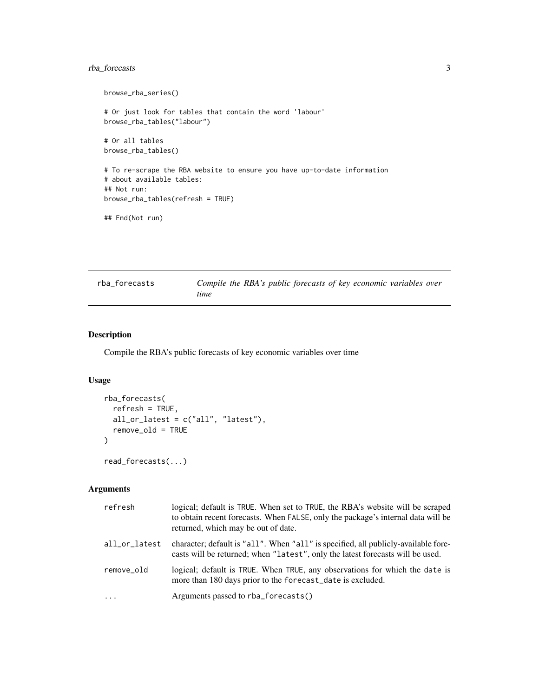#### <span id="page-2-0"></span>rba\_forecasts 3

```
browse_rba_series()
# Or just look for tables that contain the word 'labour'
browse_rba_tables("labour")
# Or all tables
browse_rba_tables()
# To re-scrape the RBA website to ensure you have up-to-date information
# about available tables:
## Not run:
browse_rba_tables(refresh = TRUE)
## End(Not run)
```

| rba_forecasts | Compile the RBA's public forecasts of key economic variables over |  |  |  |  |
|---------------|-------------------------------------------------------------------|--|--|--|--|
|               | time                                                              |  |  |  |  |

#### Description

Compile the RBA's public forecasts of key economic variables over time

#### Usage

```
rba_forecasts(
  refresh = TRUE,
  all_or_latest = c("all", "latest"),
  remove_old = TRUE
\mathcal{L}
```
read\_forecasts(...)

#### Arguments

| refresh       | logical; default is TRUE. When set to TRUE, the RBA's website will be scraped<br>to obtain recent forecasts. When FALSE, only the package's internal data will be<br>returned, which may be out of date. |
|---------------|----------------------------------------------------------------------------------------------------------------------------------------------------------------------------------------------------------|
| all_or_latest | character; default is "all". When "all" is specified, all publicly-available fore-<br>casts will be returned; when "latest", only the latest forecasts will be used.                                     |
| remove_old    | logical; default is TRUE. When TRUE, any observations for which the date is<br>more than 180 days prior to the forecast_date is excluded.                                                                |
| .             | Arguments passed to rba_forecasts()                                                                                                                                                                      |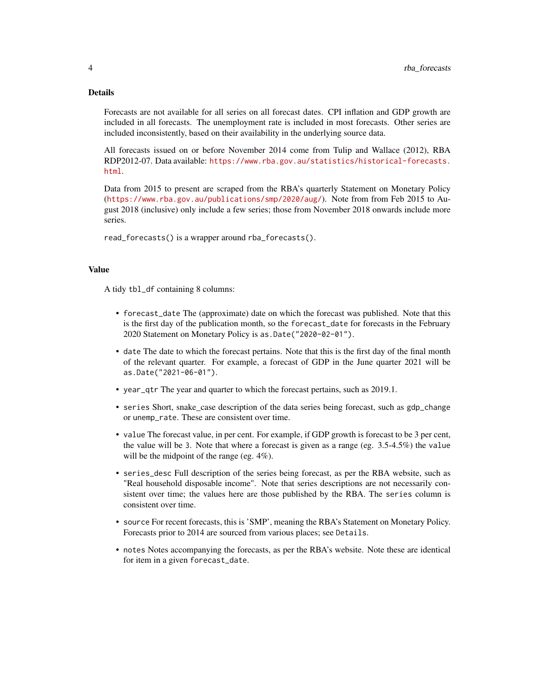#### Details

Forecasts are not available for all series on all forecast dates. CPI inflation and GDP growth are included in all forecasts. The unemployment rate is included in most forecasts. Other series are included inconsistently, based on their availability in the underlying source data.

All forecasts issued on or before November 2014 come from Tulip and Wallace (2012), RBA RDP2012-07. Data available: [https://www.rba.gov.au/statistics/historical-forecasts.](https://www.rba.gov.au/statistics/historical-forecasts.html) [html](https://www.rba.gov.au/statistics/historical-forecasts.html).

Data from 2015 to present are scraped from the RBA's quarterly Statement on Monetary Policy (<https://www.rba.gov.au/publications/smp/2020/aug/>). Note from from Feb 2015 to August 2018 (inclusive) only include a few series; those from November 2018 onwards include more series.

read\_forecasts() is a wrapper around rba\_forecasts().

#### Value

A tidy tbl\_df containing 8 columns:

- forecast\_date The (approximate) date on which the forecast was published. Note that this is the first day of the publication month, so the forecast\_date for forecasts in the February 2020 Statement on Monetary Policy is as.Date("2020-02-01").
- date The date to which the forecast pertains. Note that this is the first day of the final month of the relevant quarter. For example, a forecast of GDP in the June quarter 2021 will be as.Date("2021-06-01").
- year\_qtr The year and quarter to which the forecast pertains, such as 2019.1.
- series Short, snake\_case description of the data series being forecast, such as gdp\_change or unemp\_rate. These are consistent over time.
- value The forecast value, in per cent. For example, if GDP growth is forecast to be 3 per cent, the value will be 3. Note that where a forecast is given as a range (eg.  $3.5{\text -}4.5\%$ ) the value will be the midpoint of the range (eg. 4%).
- series\_desc Full description of the series being forecast, as per the RBA website, such as "Real household disposable income". Note that series descriptions are not necessarily consistent over time; the values here are those published by the RBA. The series column is consistent over time.
- source For recent forecasts, this is 'SMP', meaning the RBA's Statement on Monetary Policy. Forecasts prior to 2014 are sourced from various places; see Details.
- notes Notes accompanying the forecasts, as per the RBA's website. Note these are identical for item in a given forecast\_date.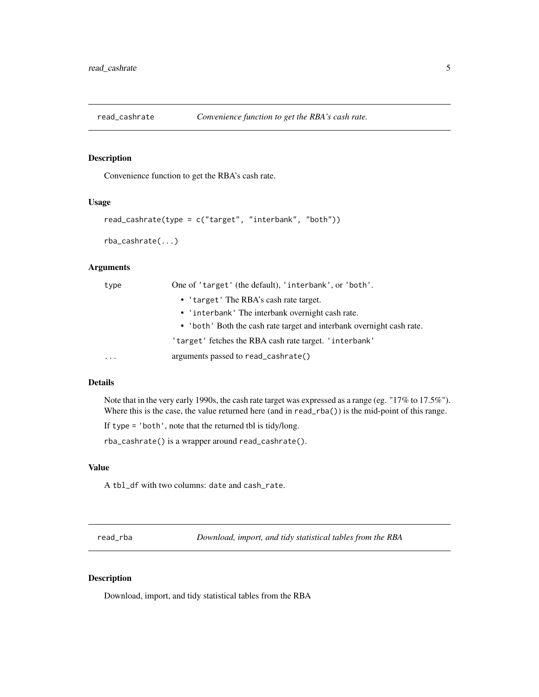<span id="page-4-0"></span>

#### Description

Convenience function to get the RBA's cash rate.

#### Usage

```
read_cashrate(type = c("target", "interbank", "both"))
rba_cashrate(...)
```
#### Arguments

| type     | One of 'target' (the default), 'interbank', or 'both'.                |
|----------|-----------------------------------------------------------------------|
|          | • 'target' The RBA's cash rate target.                                |
|          | • 'interbank' The interbank overnight cash rate.                      |
|          | • 'both' Both the cash rate target and interbank overnight cash rate. |
|          | 'target' fetches the RBA cash rate target. 'interbank'                |
| $\cdots$ | arguments passed to read_cashrate()                                   |

#### Details

Note that in the very early 1990s, the cash rate target was expressed as a range (eg. "17% to 17.5%"). Where this is the case, the value returned here (and in read\_rba()) is the mid-point of this range.

If type = 'both', note that the returned tbl is tidy/long.

rba\_cashrate() is a wrapper around read\_cashrate().

#### Value

A tbl\_df with two columns: date and cash\_rate.

read\_rba *Download, import, and tidy statistical tables from the RBA*

#### Description

Download, import, and tidy statistical tables from the RBA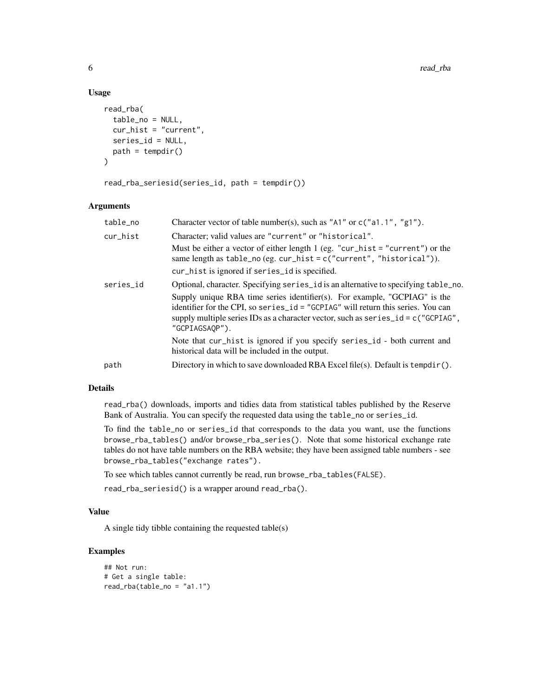#### Usage

```
read_rba(
  table_no = NULL,
  cur_hist = "current",
 series_id = NULL,
 path = tempdir())
```
read\_rba\_seriesid(series\_id, path = tempdir())

#### Arguments

| table_no  | Character vector of table number(s), such as "A1" or $c("a1.1", "g1").$                                                                                                                                                                                                                                                                                       |
|-----------|---------------------------------------------------------------------------------------------------------------------------------------------------------------------------------------------------------------------------------------------------------------------------------------------------------------------------------------------------------------|
| cur_hist  | Character; valid values are "current" or "historical".                                                                                                                                                                                                                                                                                                        |
|           | Must be either a vector of either length 1 (eg. "cur_hist = "current") or the<br>same length as table_no (eg. $cur\_hist = c("current", "historical").$<br>cur_hist is ignored if series_id is specified.                                                                                                                                                     |
| series_id | Optional, character. Specifying series id is an alternative to specifying table no.<br>Supply unique RBA time series identifier(s). For example, "GCPIAG" is the<br>identifier for the CPI, so series id = "GCPIAG" will return this series. You can<br>supply multiple series IDs as a character vector, such as $series_id = c("GCPIAG",$<br>"GCPIAGSAOP"). |
|           | Note that cur_hist is ignored if you specify series_id - both current and<br>historical data will be included in the output.                                                                                                                                                                                                                                  |
| path      | Directory in which to save downloaded RBA Excel file(s). Default is tempdir().                                                                                                                                                                                                                                                                                |
|           |                                                                                                                                                                                                                                                                                                                                                               |

#### Details

read\_rba() downloads, imports and tidies data from statistical tables published by the Reserve Bank of Australia. You can specify the requested data using the table\_no or series\_id.

To find the table\_no or series\_id that corresponds to the data you want, use the functions browse\_rba\_tables() and/or browse\_rba\_series(). Note that some historical exchange rate tables do not have table numbers on the RBA website; they have been assigned table numbers - see browse\_rba\_tables("exchange rates").

To see which tables cannot currently be read, run browse\_rba\_tables(FALSE).

```
read_rba_seriesid() is a wrapper around read_rba().
```
#### Value

A single tidy tibble containing the requested table(s)

#### Examples

```
## Not run:
# Get a single table:
read_rba(table_no = "a1.1")
```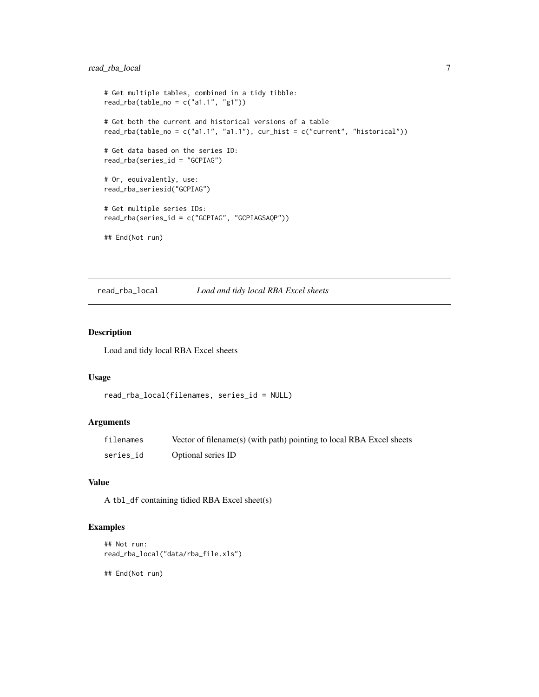#### <span id="page-6-0"></span>read\_rba\_local 7

```
# Get multiple tables, combined in a tidy tibble:
read_rba(table_no = c("a1.1", "g1"))# Get both the current and historical versions of a table
read_rba(table_no = c("a1.1", "a1.1"), cur\_hist = c("current", "historical"))# Get data based on the series ID:
read_rba(series_id = "GCPIAG")
# Or, equivalently, use:
read_rba_seriesid("GCPIAG")
# Get multiple series IDs:
read_rba(series_id = c("GCPIAG", "GCPIAGSAQP"))
## End(Not run)
```
read\_rba\_local *Load and tidy local RBA Excel sheets*

#### Description

Load and tidy local RBA Excel sheets

#### Usage

```
read_rba_local(filenames, series_id = NULL)
```
#### Arguments

| filenames | Vector of filename(s) (with path) pointing to local RBA Excel sheets |
|-----------|----------------------------------------------------------------------|
| series_id | Optional series ID                                                   |

#### Value

A tbl\_df containing tidied RBA Excel sheet(s)

#### Examples

```
## Not run:
read_rba_local("data/rba_file.xls")
```
## End(Not run)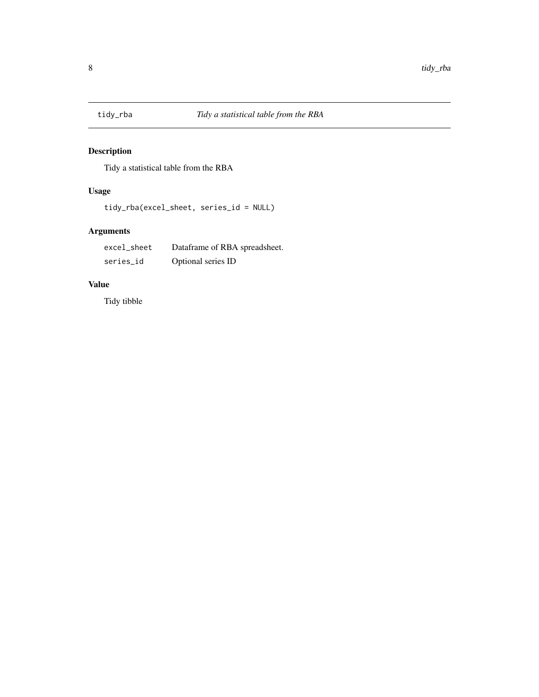<span id="page-7-0"></span>

## Description

Tidy a statistical table from the RBA

#### Usage

tidy\_rba(excel\_sheet, series\_id = NULL)

## Arguments

| excel_sheet | Dataframe of RBA spreadsheet. |
|-------------|-------------------------------|
| series_id   | Optional series ID            |

#### Value

Tidy tibble